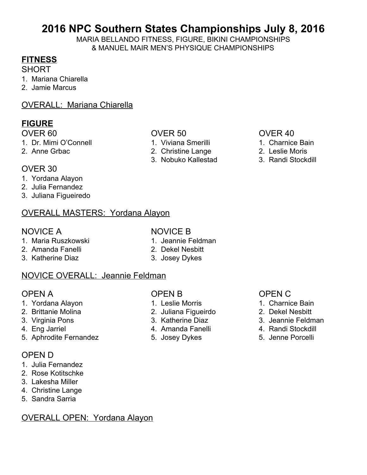# **2016 NPC Southern States Championships July 8, 2016**

MARIA BELLANDO FITNESS, FIGURE, BIKINI CHAMPIONSHIPS & MANUEL MAIR MEN'S PHYSIQUE CHAMPIONSHIPS

### **FITNESS**

**SHORT** 

- 1. Mariana Chiarella
- 2. Jamie Marcus
- OVERALL: Mariana Chiarella

### **FIGURE**

- 1. Dr. Mimi O'Connell 1. Viviana Smerilli 1. Charnice Bain
- 
- OVER 60 OVER 50 OVER 40
	-
- 2. Anne Grbac 2. Christine Lange 2. Leslie Moris
	- 3. Nobuko Kallestad 3. Randi Stockdill

- 
- 
- 

#### OVER 30

- 1. Yordana Alayon
- 2. Julia Fernandez
- 3. Juliana Figueiredo

### OVERALL MASTERS: Yordana Alayon

### NOVICE A NOVICE B

- 1. Maria Ruszkowski 1. Jeannie Feldman
- 2. Amanda Fanelli 2. Dekel Nesbitt
- 3. Katherine Diaz 3. Josey Dykes
- 
- 
- 

### NOVICE OVERALL: Jeannie Feldman

- 1. Yordana Alayon 1. Leslie Morris 1. Charnice Bain
- 
- 
- 
- 5. Aphrodite Fernandez **5.** Josey Dykes 5. Jenne Porcelli

#### OPEN D

- 1. Julia Fernandez
- 2. Rose Kotitschke
- 3. Lakesha Miller
- 4. Christine Lange
- 5. Sandra Sarria

#### OVERALL OPEN: Yordana Alayon

#### OPEN A OPEN B OPEN A OPEN C

- 
- 2. Brittanie Molina 2. Juliana Figueirdo 2. Dekel Nesbitt
	-
- 4. Eng Jarriel **4. Amanda Fanelli** 4. Amanda Fanelli 4. Randi Stockdill
	-

- 
- 
- 3. Virginia Pons 3. Katherine Diaz 3. Jeannie Feldman
	-
	-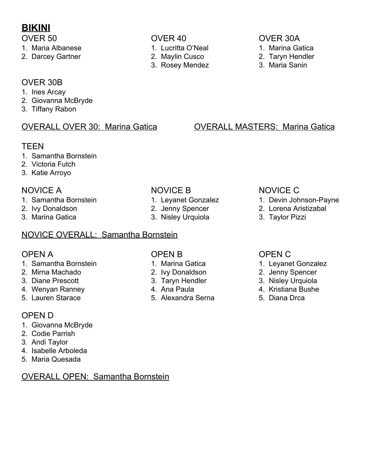# **BIKINI**

- 1. Maria Albanese 1. Lucritta O'Neal 1. Marina Gatica
- 2. Darcey Gartner 2. Maylin Cusco 2. Taryn Hendler

- 
- 
- 3. Rosey Mendez 3. Maria Sanin

### OVER 30B

- 1. Ines Arcay
- 2. Giovanna McBryde
- 3. Tiffany Rabon

### **TFFN**

- 1. Samantha Bornstein
- 2. Victoria Futch
- 3. Katie Arroyo

- 
- 
- 3. Marina Gatica 3. Nisley Urquiola 3. Taylor Pizzi

### NOVICE OVERALL: Samantha Bornstein

- 1. Samantha Bornstein 1. Marina Gatica 1. Leyanet Gonzalez
- 
- 
- 4. Wenyan Ranney 4. Ana Paula 4. Kristiana Bushe<br>5. Lauren Starace 5. Alexandra Serna 5. Diana Drca
- 

### OPEN D

- 1. Giovanna McBryde
- 2. Codie Parrish
- 3. Andi Taylor
- 4. Isabelle Arboleda
- 5. Maria Quesada

### OVERALL OPEN: Samantha Bornstein

- 
- 
- 
- 
- 5. Alexandra Serna 5. Diana Drca

### OVER 50 OVER 40 OVER 30A

- 
- 
- 

### OVERALL OVER 30: Marina Gatica OVERALL MASTERS: Marina Gatica

### NOVICE A NOVICE B NOVICE C

- 1. Samantha Bornstein 1. Leyanet Gonzalez 1. Devin Johnson-Payne<br>1. Ivy Donaldson 2. Jenny Spencer 2. Lorena Aristizabal
- 2. Ivy Donaldson 2. Jenny Spencer 2. Lorena Aristizabal
	-

### OPEN A OPEN B OPEN A OPEN C

- 
- 2. Mirna Machado 2. Ivy Donaldson 2. Jenny Spencer
- 3. Diane Prescott 3. Taryn Hendler 3. Nisley Urquiola
	-
	-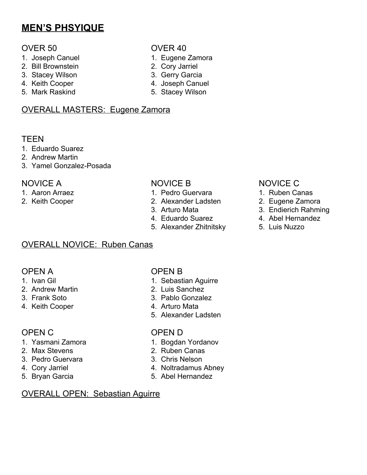# **MEN'S PHSYIQUE**

### OVER 50 OVER 40

- 1. Joseph Canuel 2008 1. Eugene Zamora
- 2. Bill Brownstein 2. Cory Jarriel<br>
3. Stacey Wilson 3. Gerry Garcia
- 3. Stacey Wilson
- 4. Keith Cooper 4. Joseph Canuel
- 5. Mark Raskind 5. Stacey Wilson

### OVERALL MASTERS: Eugene Zamora

#### TEEN

- 1. Eduardo Suarez
- 2. Andrew Martin
- 3. Yamel Gonzalez-Posada

- 
- 

- 1. Aaron Arraez 1. Pedro Guervara 1. Ruben Canas
- 2. Keith Cooper 2. Alexander Ladsten 2. Eugene Zamora
	-
	- 4. Eduardo Suarez **4. Abel Hernandez**
	- 5. Alexander Zhitnitsky 5. Luis Nuzzo

### OVERALL NOVICE: Ruben Canas

### OPEN A OPEN B

- 
- 2. Andrew Martin 2. Luis Sanchez
- 
- 4. Keith Cooper 1. Arturo Mata

- 
- 
- 3. Pedro Guervara 3. Chris Nelson
- 
- 

### OVERALL OPEN: Sebastian Aguirre

- 1. Ivan Gil 1. Sebastian Aguirre
	-
- 3. Frank Soto 3. Pablo Gonzalez
	-
	- 5. Alexander Ladsten

#### OPEN C OPEN D

- 1. Yasmani Zamora 1. Bogdan Yordanov
- 2. Max Stevens 2. Ruben Canas
	-
- 4. Cory Jarriel **4. Noltradamus Abney**
- 5. Bryan Garcia 5. Abel Hernandez
- NOVICE A NOVICE B NOVICE C
	-
	-
	- 3. Arturo Mata 3. Endierich Rahming
		-
		-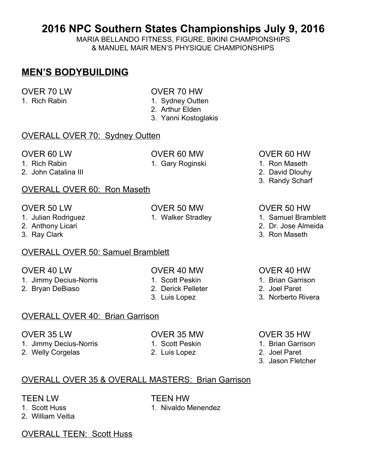# **2016 NPC Southern States Championships July 9, 2016**

MARIA BELLANDO FITNESS, FIGURE, BIKINI CHAMPIONSHIPS & MANUEL MAIR MEN'S PHYSIQUE CHAMPIONSHIPS

### **MEN'S BODYBUILDING**

- OVER 70 LW OVER 70 HW
- 1. Rich Rabin 1. Sydney Outten
	- 2. Arthur Elden
	- 3. Yanni Kostoglakis

#### OVERALL OVER 70: Sydney Outten

2. John Catalina III 2. David Dlouhy

### OVERALL OVER 60: Ron Maseth

- 
- 
- 

#### OVERALL OVER 50: Samuel Bramblett

- OVER 40 LW OVER 40 MW OVER 40 HW
- 1. Jimmy Decius-Norris 1. Scott Peskin 1. Brian Garrison
- 2. Bryan DeBiaso 2. Derick Pelleter 2. Joel Paret
- 
- -

#### OVERALL OVER 40: Brian Garrison

- 1. Jimmy Decius-Norris 1. Scott Peskin 1. Brian Garrison
- 2. Welly Corgelas 2. Luis Lopez 2. Joel Paret
- 
- -

#### OVER 60 LW OVER 60 MW OVER 60 HW

- 1. Rich Rabin 1. Gary Roginski 1. Ron Maseth
	-
	- 3. Randy Scharf

#### OVER 50 LW OVER 50 MW OVER 50 HW

- 1. Julian Rodriguez **1. Walker Stradley** 1. Samuel Bramblett
- 2. Anthony Licari 2. Dr. Jose Almeida
- 3. Ray Clark 3. Ron Maseth

- 
- 
- 3. Luis Lopez 3. Norberto Rivera
- OVER 35 LW OVER 35 MW OVER 35 HW
	-
	-
	- 3. Jason Fletcher

# OVERALL OVER 35 & OVERALL MASTERS: Brian Garrison

- 1. Scott Huss 1. Nivaldo Menendez
- 2. William Veitia

TEEN LW TEEN HW

OVERALL TEEN: Scott Huss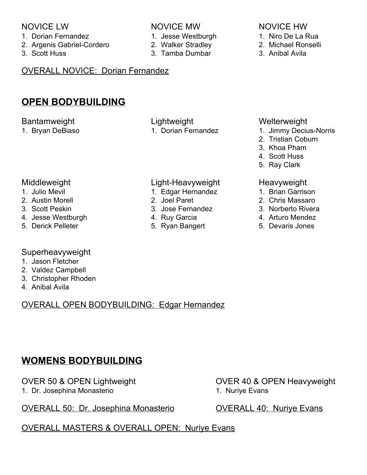#### NOVICE LW NOVICE MW NOVICE HW

- 1. Dorian Fernandez 1. Jesse Westburgh 1. Niro De La Rua
- 2. Argenis Gabriel-Cordero 2. Walker Stradley 2. Michael Ronselli
- 3. Scott Huss 3. Tamba Dumbar 3. Anibal Avila
- OVERALL NOVICE: Dorian Fernandez

### **OPEN BODYBUILDING**

#### Bantamweight Lightweight Lightweight Welterweight

#### Middleweight Light-Heavyweight Heavyweight

- 
- 
- 
- 4. Jesse Westburgh **4. Ruy Garcia** 4. Arturo Mendez
- 

#### Superheavyweight

- 1. Jason Fletcher
- 2. Valdez Campbell
- 3. Christopher Rhoden
- 4. Anibal Avila

### OVERALL OPEN BODYBUILDING: Edgar Hernandez

# **WOMENS BODYBUILDING**

1. Dr. Josephina Monasterio 1. Nuriye Evans

### OVERALL 50: Dr. Josephina Monasterio CVERALL 40: Nurive Evans

# OVERALL MASTERS & OVERALL OPEN: Nuriye Evans

# OVER 50 & OPEN Lightweight OVER 40 & OPEN Heavyweight

- 
- 

- 1. Bryan DeBiaso 1. Dorian Fernandez 1. Jimmy Decius-Norris
	- 2. Tristian Coburn
	- 3. Khoa Pham
	- 4. Scott Huss
	- 5. Ray Clark

- 1. Julio Mevil **1. Edgar Hernandez** 1. Brian Garrison
- 2. Austin Morell 2. Joel Paret 2. Chris Massaro
	-
	-
- 5. Derick Pelleter 5. Ryan Bangert 5. Devaris Jones

- 
- 
- 3. Scott Peskin 3. Jose Fernandez 3. Norberto Rivera
	-
	-